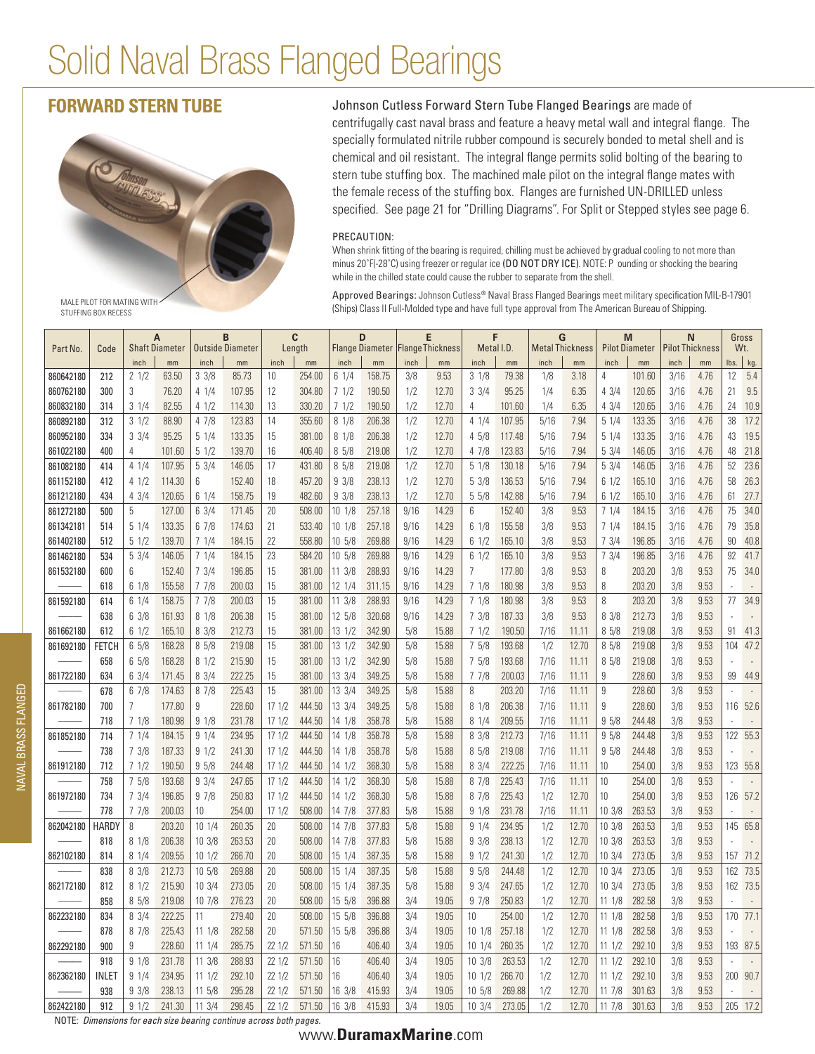# Solid Naval Brass Flanged Bearings

stuffing box recess



**FORWARD STERN TUBE** Johnson Cutless Forward Stern Tube Flanged Bearings are made of centrifugally cast naval brass and feature a heavy metal wall and integral flange. The specially formulated nitrile rubber compound is securely bonded to metal shell and is chemical and oil resistant. The integral flange permits solid bolting of the bearing to stern tube stuffing box. The machined male pilot on the integral flange mates with the female recess of the stuffing box. Flanges are furnished UN-DRILLED unless specified. See page 21 for "Drilling Diagrams". For Split or Stepped styles see page 6.

### PRECAUTION:

When shrink fitting of the bearing is required, chilling must be achieved by gradual cooling to not more than minus 20°F(-28°C) using freezer or regular ice (DO NOT DRY ICE). NOTE: P ounding or shocking the bearing while in the chilled state could cause the rubber to separate from the shell.

Approved Bearings: Johnson Cutless® Naval Brass Flanged Bearings meet military specification MIL-B-17901 (Ships) Class II Full-Molded type and have full type approval from The American Bureau of Shipping.

Part No. Code **A** Shaft Diameter **B** Outside Diameter **C** Length **D** Flange Diameter **E** FlangeThickness **F** Metal I.D. **G** Metal Thickness **M** Pilot Diameter **N** Pilot Thickness Gross Wt. inch | mm | inch | mm | inch | mm | inch | mm | inch | mm | inch | mm | inch | mm | inch | mm | lbs. | kg. 860642180 | 212 | 21/2 | 63.50 | 33/8 | 85.73 | 10 | 254.00 | 61/4 | 158.75 | 3/8 | 9.53 | 31/8 | 79.38 | 1/8 | 3.18 | 4 | 101.60 | 3/16 | 4.76 | 12 | 5.4 860762180 | 300 | 3 | 76.20 | 4 1/4 | 107.95 | 12 | 304.80 | 7 1/2 | 190.50 | 1/2 | 12.70 | 3 3/4 | 95.25 | 1/4 | 6.35 | 4 3/4 | 120.65 | 3/16 | 4.76 | 21 | 9.5 860832180 314 3 1/4 82.55 4 1/2 114.30 13 330.20 7 1/2 190.50 1/2 12.70 4 101.60 1/4 6.35 4 3/4 120.65 3/16 4.76 24 10.9 860892180 | 312 | 3 1/2 | 88.90 | 4 7/8 | 123.83 | 14 | 355.60 | 8 1/8 | 206.38 | 1/2 | 12.70 | 4 1/4 | 107.95 | 5/16 | 7.94 | 5 1/4 | 133.35 | 3/16 | 4.76 | 38 | 17.2 860952180 | 334 | 3 3/4 | 95.25 | 5 1/4 | 133.35 | 15 | 381.00 | 8 1/8 | 206.38 | 1/2 | 12.70 | 4 5/8 | 117.48 | 5/16 | 7.94 | 5 1/4 | 133.35 | 3/16 | 4.76 | 43 | 19.5 861022180 400 4 101.60 5 1/2 139.70 16 406.40 8 5/8 219.08 1/2 12.70 4 7/8 123.83 5/16 7.94 5 3/4 146.05 3/16 4.76 48 21.8 861082180 | 414 | 41/4 107.95 | 53/4 146.05 | 17 | 431.80 | 85/8 | 219.08 | 1/2 | 12.70 | 51/8 130.18 | 5/16 17.94 | 53/4 146.05 | 3/16 | 4.76 | 52 | 23.6 861152180 412 4 1/2 114.30 6 152.40 18 457.20 9 3/8 238.13 1/2 12.70 5 3/8 136.53 5/16 7.94 6 1/2 165.10 3/16 4.76 58 26.3 861212180 | 434 | 43/4 120.65 | 61/4 158.75 | 19 | 482.60 | 93/8 | 238.13 | 1/2 12.70 | 55/8 142.88 | 5/16 7.94 | 61/2 165.10 | 3/16 4.76 | 61 | 27.7 861272180 500 5 127.00 6 3/4 171.45 20 508.00 10 1/8 257.18 9/16 14.29 6 152.40 3/8 9.53 7 1/4 184.15 3/16 4.76 75 34.0 861342181 514 5 1/4 133.35 6 7/8 174.63 21 533.40 10 1/8 257.18 9/16 14.29 6 1/8 155.58 3/8 9.53 7 1/4 184.15 3/16 4.76 79 35.8 861402180 512 5 1/2 139.70 7 1/4 184.15 22 558.80 10 5/8 269.88 9/16 14.29 6 1/2 165.10 3/8 9.53 7 3/4 196.85 3/16 4.76 90 40.8 861462180 | 534 | 53/4 | 146.05 | 7 1/4 | 184.15 | 23 | 684.20 | 10 5/8 | 269.88 | 9/16 | 14.29 | 6 1/2 | 165.10 | 3/8 | 9.53 | 73/4 | 196.85 | 3/16 | 4.76 | 92 | 41.7 861532180 | 600 | 6 | 152.40 | 7 3/4 | 196.85 | 15 | 381.00 | 11 3/8 | 288.93 | 9/16 | 14.29 | 7 | 177.80 | 3/8 | 9.53 | 8 | 203.20 | 3/8 | 9.53 | 75 | 34.0 ––––– 618 6 1/8 155.58 7 7/8 200.03 15 381.00 12 1/4 311.15 9/16 14.29 7 1/8 180.98 3/8 9.53 8 203.20 3/8 9.53 - - 861592180 | 614 | 61/4 158.75 | 7 7/8 200.03 | 15 | 381.00 |11 3/8 288.93 | 9/16 | 14.29 | 7 1/8 180.98 | 3/8 | 3/8 | 9.53 | 8 | 203.20 | 3/8 | 9.53 | 77 34.9 ––––– 638 6 3/8 161.93 8 1/8 206.38 15 381.00 12 5/8 320.68 9/16 14.29 7 3/8 187.33 3/8 9.53 8 3/8 212.73 3/8 9.53 - - 861662180 | 612 | 6 1/2 | 165.10 | 8 3/8 | 212.73 | 15 | 381.00 | 13 1/2 | 342.90 | 5/8 | 15.88 | 7 1/2 | 19.50 | 7/16 | 11.11 | 8 5/8 | 219.08 | 3/8 | 9.53 | 91 | 41.3 861692180 | FETCH | 6 5/8 168.28 | 8 5/8 219.08 | 15 381.00 | 13 1/2 342.90 | 5/8 15.88 | 7 5/8 193.68 | 1/2 12.70 | 8 5/8 219.08 | 3/8 9.53 | 104 47.2 ––––– 658 6 5/8 168.28 8 1/2 215.90 15 381.00 13 1/2 342.90 5/8 15.88 7 5/8 193.68 7/16 11.11 8 5/8 219.08 3/8 9.53 - - 861722180 634 6 3/4 171.45 8 3/4 222.25 15 381.00 13 3/4 349.25 5/8 15.88 7 7/8 200.03 7/16 11.11 9 228.60 3/8 9.53 99 44.9 ––––– 678 6 7/8 174.63 8 7/8 225.43 15 381.00 13 3/4 349.25 5/8 15.88 8 203.20 7/16 11.11 9 228.60 3/8 9.53 - - 861782180 700 7 177.80 9 228.60 17 1/2 444.50 13 3/4 349.25 5/8 15.88 8 1/8 206.38 7/16 11.11 9 228.60 3/8 9.53 116 52.6 ––––– 718 7 1/8 180.98 9 1/8 231.78 17 1/2 444.50 14 1/8 358.78 5/8 15.88 8 1/4 209.55 7/16 11.11 9 5/8 244.48 3/8 9.53 - - 861852180 | 714 | 7 1/4 184.15 | 9 1/4 234.95 | 17 1/2 444.50 |14 1/8 358.78 | 5/8 15.88 | 8 3/8 212.73 | 7/16 11.11 | 9 5/8 244.48 | 3/8 9.53 | 122 55.3 ––––– 738 7 3/8 187.33 9 1/2 241.30 17 1/2 444.50 14 1/8 358.78 5/8 15.88 8 5/8 219.08 7/16 11.11 9 5/8 244.48 3/8 9.53 - - 861912180 712 7 1/2 190.50 9 5/8 244.48 17 1/2 444.50 14 1/2 368.30 5/8 15.88 8 3/4 222.25 7/16 11.11 10 254.00 3/8 9.53 123 55.8 ––––– 758 7 5/8 193.68 9 3/4 247.65 17 1/2 444.50 14 1/2 368.30 5/8 15.88 8 7/8 225.43 7/16 11.11 10 254.00 3/8 9.53 - - 861972180 734 7 3/4 196.85 9 7/8 250.83 17 1/2 444.50 14 1/2 368.30 5/8 15.88 8 7/8 225.43 1/2 12.70 10 254.00 3/8 9.53 126 57.2 ––––– 778 7 7/8 200.03 10 254.00 17 1/2 508.00 14 7/8 377.83 5/8 15.88 9 1/8 231.78 7/16 11.11 10 3/8 263.53 3/8 9.53 - - 862042180 HARDY 8 203.20 10 1/4 260.35 20 508.00 14 7/8 377.83 5/8 15.88 9 1/4 234.95 1/2 12.70 10 3/8 263.53 3/8 9.53 145 65.8 ——— | 818 | 8 1/8 206.38 | 10 3/8 263.53 | 20 508.00 | 14 7/8 377.83 | 5/8 15.88 | 9 3/8 238.13 | 1/2 12.70 | 10 3/8 263.53 | 3/8 9.53 | - -862102180 | 814 | 8 1/4 209.55 | 10 1/2 266.70 | 20 | 508.00 | 15 1/4 387.35 | 5/8 | 15.88 | 9 1/2 241.30 | 1/2 | 12.70 | 10 3/4 273.05 | 3/8 | 9.53 | 157 71.2 ––––– 838 8 3/8 212.73 10 5/8 269.88 20 508.00 15 1/4 387.35 5/8 15.88 9 5/8 244.48 1/2 12.70 10 3/4 273.05 3/8 9.53 162 73.5 862172180| 812 | 8 1/2 215.90 | 10 3/4 273.05 | 20 | 508.00 | 15 1/4 387.35 | 5/8 | 15.88 | 9 3/4 27.05 | 1/2 | 12.70 | 10 3/4 273.05 | 3/8 | 9.53 | 162 73.5 ––––– 858 8 5/8 219.08 10 7/8 276.23 20 508.00 15 5/8 396.88 3/4 19.05 9 7/8 250.83 1/2 12.70 11 1/8 282.58 3/8 9.53 - - 862232180 | 834 | 8 3/4 222.25 | 11 | 279.40 | 20 | 508.00 | 15 5/8 | 396.88 | 3/4 | 19.05 | 10 | 254.00 | 1/2 | 12.70 | 11 1/8 | 282.58 | 3/8 | 9.53 | 170 77.1 ––––– 878 8 7/8 225.43 11 1/8 282.58 20 571.50 15 5/8 396.88 3/4 19.05 10 1/8 257.18 1/2 12.70 11 1/8 282.58 3/8 9.53 - - 862292180 900 9 228.60 11 1/4 285.75 22 1/2 571.50 16 406.40 3/4 19.05 10 1/4 260.35 1/2 12.70 11 1/2 292.10 3/8 9.53 193 87.5 ––––– 918 9 1/8 231.78 11 3/8 288.93 22 1/2 571.50 16 406.40 3/4 19.05 10 3/8 263.53 1/2 12.70 11 1/2 292.10 3/8 9.53 - - 862362180 INLET 9 1/4 234.95 11 1/2 292.10 22 1/2 571.50 16 406.40 3/4 19.05 10 1/2 266.70 1/2 12.70 11 1/2 292.10 3/8 9.53 200 90.7 ––– | 938 |93/8 238.13 |11 5/8 295.28 |22 1/2 571.50 |16 3/8 415.93 | 3/4 19.05 |10 5/8 269.88 | 1/2 12.70 |11 7/8 301.63 | 3/8 9.53 | - -862422180 | 912 | 9 1/2 241.30 | 11 3/4 298.45 | 22 1/2 571.50 | 16 3/8 415.93 | 3/4 19.05 | 10 3/4 273.05 | 1/2 12.70 | 11 7/8 301.63 | 3/8 9.53 | 205 17.2

NOTE: *Dimensions for each size bearing continue across both pages.*

## **<sup>20</sup>** www.**DuramaxMarine**.com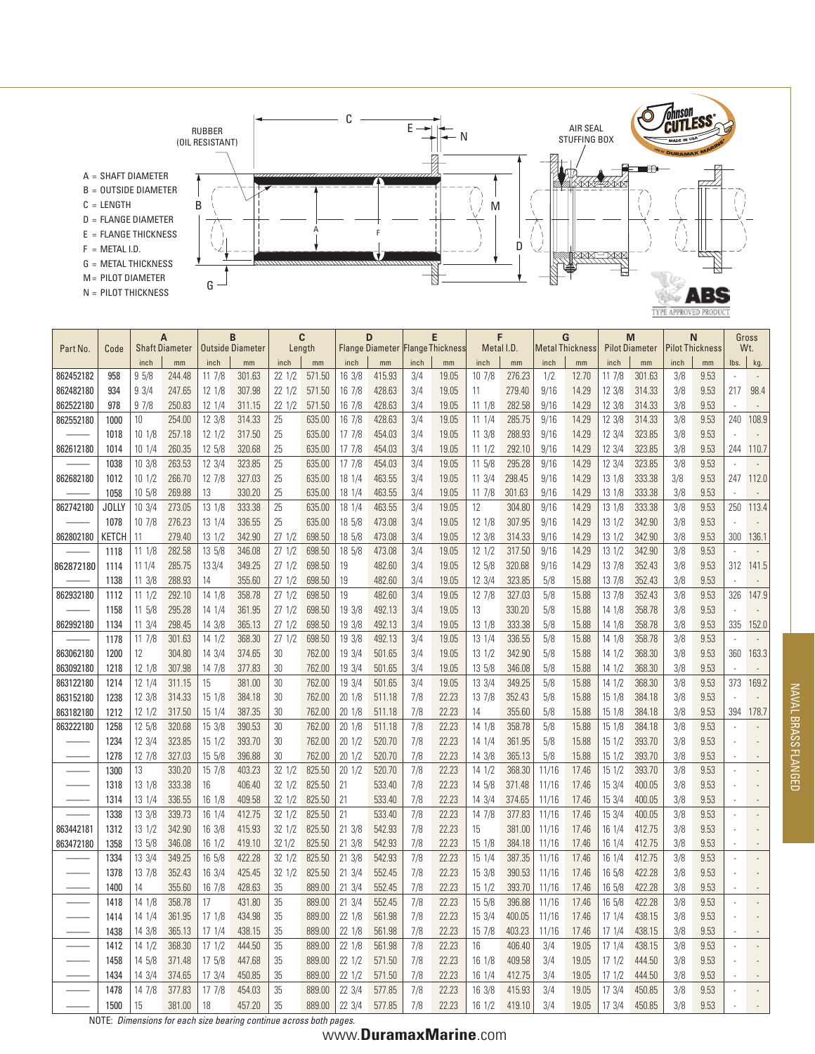

|           |              | Α<br><b>Shaft Diameter</b> |        | В<br><b>Outside Diameter</b> |        | C<br>Length      |        | D                |        | E<br><b>Flange Diameter Flange Thickness</b> |       | Metal I.D. |        | G<br>Metal Thickness |       | M<br><b>Pilot Diameter</b> |        | N<br><b>Pilot Thickness</b> |      | Gross<br>Wt. |       |
|-----------|--------------|----------------------------|--------|------------------------------|--------|------------------|--------|------------------|--------|----------------------------------------------|-------|------------|--------|----------------------|-------|----------------------------|--------|-----------------------------|------|--------------|-------|
| Part No.  | Code         |                            |        |                              |        |                  |        |                  |        |                                              |       |            |        |                      |       |                            |        |                             |      |              |       |
|           |              | inch                       | mm     | inch                         | mm     | inch             | mm     | inch             | mm     | inch                                         | mm    | inch       | mm     | inch                 | mm    | inch                       | mm     | inch                        | mm   | lbs.         | kg.   |
| 862452182 | 958          | 95/8                       | 244.48 | 117/8                        | 301.63 | 22 1/2           | 571.50 | 16 3/8           | 415.93 | 3/4                                          | 19.05 | 107/8      | 276.23 | 1/2                  | 12.70 | 11 7/8                     | 301.63 | 3/8                         | 9.53 |              |       |
| 862482180 | 934          | 93/4                       | 247.65 | 12 1/8                       | 307.98 | 221/2            | 571.50 | 16 7/8           | 428.63 | 3/4                                          | 19.05 | 11         | 279.40 | 9/16                 | 14.29 | 12 3/8                     | 314.33 | 3/8                         | 9.53 | 217          | 98.4  |
| 862522180 | 978          | 97/8                       | 250.83 | 12 1/4                       | 311.15 | 221/2            | 571.50 | 16 7/8           | 428.63 | 3/4                                          | 19.05 | 111/8      | 282.58 | 9/16                 | 14.29 | 12 3/8                     | 314.33 | 3/8                         | 9.53 |              |       |
| 862552180 | 1000         | 10                         | 254.00 | 12 3/8                       | 314.33 | 25               | 635.00 | 16 7/8           | 428.63 | 3/4                                          | 19.05 | 11 1/4     | 285.75 | 9/16                 | 14.29 | 12 3/8                     | 314.33 | 3/8                         | 9.53 | 240          | 108.9 |
|           | 1018         | 101/8                      | 257.18 | $12 \frac{1}{2}$             | 317.50 | 25               | 635.00 | 177/8            | 454.03 | 3/4                                          | 19.05 | 11 3/8     | 288.93 | 9/16                 | 14.29 | 12 3/4                     | 323.85 | 3/8                         | 9.53 |              |       |
| 862612180 | 1014         | 10 1/4                     | 260.35 | 12 5/8                       | 320.68 | 25               | 635.00 | 17 7/8           | 454.03 | 3/4                                          | 19.05 | 111/2      | 292.10 | 9/16                 | 14.29 | 12 3/4                     | 323.85 | 3/8                         | 9.53 | 244          | 110.7 |
|           | 1038         | 10 3/8                     | 263.53 | 12 3/4                       | 323.85 | 25               | 635.00 | 177/8            | 454.03 | 3/4                                          | 19.05 | 11 5/8     | 295.28 | 9/16                 | 14.29 | 12 3/4                     | 323.85 | 3/8                         | 9.53 |              |       |
| 862682180 | 1012         | 101/2                      | 266.70 | 12 7/8                       | 327.03 | 25               | 635.00 | 18 1/4           | 463.55 | 3/4                                          | 19.05 | 11 3/4     | 298.45 | 9/16                 | 14.29 | 13 1/8                     | 333.38 | 3/8                         | 9.53 | 247          | 112.0 |
|           | 1058         | 10 5/8                     | 269.88 | 13                           | 330.20 | 25               | 635.00 | 18 1/4           | 463.55 | 3/4                                          | 19.05 | 11 7/8     | 301.63 | 9/16                 | 14.29 | 13 1/8                     | 333.38 | 3/8                         | 9.53 |              |       |
| 862742180 | <b>JOLLY</b> | 103/4                      | 273.05 | 13 1/8                       | 333.38 | 25               | 635.00 | 18 1/4           | 463.55 | 3/4                                          | 19.05 | 12         | 304.80 | 9/16                 | 14.29 | 13 1/8                     | 333.38 | 3/8                         | 9.53 | 250          | 113.4 |
|           | 1078         | 10 7/8                     | 276.23 | 13 1/4                       | 336.55 | 25               | 635.00 | 18 5/8           | 473.08 | 3/4                                          | 19.05 | 12 1/8     | 307.95 | 9/16                 | 14.29 | $13 \frac{1}{2}$           | 342.90 | 3/8                         | 9.53 |              |       |
| 862802180 | кетсн        | 11                         | 279.40 | 13 1/2                       | 342.90 | 271/2            | 698.50 | 18 5/8           | 473.08 | 3/4                                          | 19.05 | 12 3/8     | 314.33 | 9/16                 | 14.29 | 13 1/2                     | 342.90 | 3/8                         | 9.53 | 300          | 136.1 |
|           | 1118         | 11 1/8                     | 282.58 | 13 5/8                       | 346.08 | 27 1/2           | 698.50 | 18 5/8           | 473.08 | 3/4                                          | 19.05 | 12 1/2     | 317.50 | 9/16                 | 14.29 | 13 1/2                     | 342.90 | 3/8                         | 9.53 |              |       |
| 862872180 | 1114         | 11 1/4                     | 285.75 | 13 3/4                       | 349.25 | 271/2            | 698.50 | 19               | 482.60 | 3/4                                          | 19.05 | 12 5/8     | 320.68 | 9/16                 | 14.29 | 13 7/8                     | 352.43 | 3/8                         | 9.53 | 312          | 141.5 |
|           | 1138         | 11 3/8                     | 288.93 | 14                           | 355.60 | 271/2            | 698.50 | 19               | 482.60 | 3/4                                          | 19.05 | 12 3/4     | 323.85 | 5/8                  | 15.88 | 13 7/8                     | 352.43 | 3/8                         | 9.53 |              |       |
| 862932180 | 1112         | 111/2                      | 292.10 | 14 1/8                       | 358.78 | 271/2            | 698.50 | 19               | 482.60 | 3/4                                          | 19.05 | 12 7/8     | 327.03 | 5/8                  | 15.88 | 13 7/8                     | 352.43 | 3/8                         | 9.53 | 326          | 147.9 |
|           | 1158         | 11 5/8                     | 295.28 | 14 1/4                       | 361.95 | 271/2            | 698.50 | 19 3/8           | 492.13 | 3/4                                          | 19.05 | 13         | 330.20 | 5/8                  | 15.88 | 14 1/8                     | 358.78 | 3/8                         | 9.53 |              |       |
| 862992180 | 1134         | $11 \frac{3}{4}$           | 298.45 | 14 3/8                       | 365.13 | 271/2            | 698.50 | 19 3/8           | 492.13 | 3/4                                          | 19.05 | 13 1/8     | 333.38 | 5/8                  | 15.88 | 14 1/8                     | 358.78 | 3/8                         | 9.53 | 335          | 152.0 |
|           | 1178         | 11 7/8                     | 301.63 | 14 1/2                       | 368.30 | 271/2            | 698.50 | 19 3/8           | 492.13 | 3/4                                          | 19.05 | 13 1/4     | 336.55 | 5/8                  | 15.88 | 14 1/8                     | 358.78 | 3/8                         | 9.53 |              |       |
| 863062180 | 1200         | 12                         | 304.80 | 14 3/4                       | 374.65 | 30               | 762.00 | 19 3/4           | 501.65 | 3/4                                          | 19.05 | 13 1/2     | 342.90 | 5/8                  | 15.88 | 14 1/2                     | 368.30 | 3/8                         | 9.53 | 360          | 163.3 |
| 863092180 | 1218         | 12 1/8                     | 307.98 | 14 7/8                       | 377.83 | 30               | 762.00 | 19 3/4           | 501.65 | 3/4                                          | 19.05 | 13 5/8     | 346.08 | 5/8                  | 15.88 | 14 1/2                     | 368.30 | 3/8                         | 9.53 |              |       |
| 863122180 | 1214         | 12 1/4                     | 311.15 | 15                           | 381.00 | 30               | 762.00 | 19 3/4           | 501.65 | 3/4                                          | 19.05 | 13 3/4     | 349.25 | 5/8                  | 15.88 | 14 1/2                     | 368.30 | 3/8                         | 9.53 | 373          | 169.2 |
| 863152180 | 1238         | 12 3/8                     | 314.33 | 15 1/8                       | 384.18 | 30               | 762.00 | 20 1/8           | 511.18 | 7/8                                          | 22.23 | 13 7/8     | 352.43 | 5/8                  | 15.88 | 15 1/8                     | 384.18 | 3/8                         | 9.53 |              |       |
| 863182180 | 1212         | 12 1/2                     | 317.50 | 15 1/4                       | 387.35 | 30               | 762.00 | 201/8            | 511.18 | 7/8                                          | 22.23 | 14         | 355.60 | 5/8                  | 15.88 | 15 1/8                     | 384.18 | 3/8                         | 9.53 | 394          | 178.7 |
| 863222180 | 1258         | 12 5/8                     | 320.68 | 15 3/8                       | 390.53 | 30               | 762.00 | 20 1/8           | 511.18 | 7/8                                          | 22.23 | 14 1/8     | 358.78 | 5/8                  | 15.88 | 15 1/8                     | 384.18 | 3/8                         | 9.53 |              |       |
|           | 1234         | 12 3/4                     | 323.85 | $15 \frac{1}{2}$             | 393.70 | 30               | 762.00 | 201/2            | 520.70 | 7/8                                          | 22.23 | 14 1/4     | 361.95 | 5/8                  | 15.88 | 15 1/2                     | 393.70 | 3/8                         | 9.53 |              |       |
|           | 1278         | 12 7/8                     | 327.03 | 15 5/8                       | 396.88 | 30               | 762.00 | 201/2            | 520.70 | 7/8                                          | 22.23 | 14 3/8     | 365.13 | 5/8                  | 15.88 | 15 1/2                     | 393.70 | 3/8                         | 9.53 |              |       |
|           | 1300         | 13                         | 330.20 | 15 7/8                       | 403.23 | 32 1/2           | 825.50 | 201/2            | 520.70 | 7/8                                          | 22.23 | 14 1/2     | 368.30 | 11/16                | 17.46 | 15 1/2                     | 393.70 | 3/8                         | 9.53 |              |       |
|           | 1318         | 13 1/8                     | 333.38 | 16                           | 406.40 | 32 1/2           | 825.50 | 21               | 533.40 | 7/8                                          | 22.23 | 14 5/8     | 371.48 | 11/16                | 17.46 | 15 3/4                     | 400.05 | 3/8                         | 9.53 |              |       |
|           | 1314         | 13 1/4                     | 336.55 | 16 1/8                       | 409.58 | 32 1/2           | 825.50 | 21               | 533.40 | 7/8                                          | 22.23 | 14 3/4     | 374.65 | 11/16                | 17.46 | 15 3/4                     | 400.05 | 3/8                         | 9.53 |              |       |
|           | 1338         | 13 3/8                     | 339.73 | 16 1/4                       | 412.75 | 32 1/2           | 825.50 | 21               | 533.40 | 7/8                                          | 22.23 | 14 7/8     | 377.83 | 11/16                | 17.46 | 15 3/4                     | 400.05 | 3/8                         | 9.53 |              |       |
| 863442181 | 1312         | 13 1/2                     | 342.90 | 16 3/8                       | 415.93 | 32 1/2           | 825.50 | $21 \frac{3}{8}$ | 542.93 | 7/8                                          | 22.23 | 15         | 381.00 | 11/16                | 17.46 | 16 1/4                     | 412.75 | 3/8                         | 9.53 |              |       |
| 863472180 | 1358         | 13 5/8                     | 346.08 | 16 1/2                       | 419.10 | 321/2            | 825.50 | 21 3/8           | 542.93 | 7/8                                          | 22.23 | 15 1/8     | 384.18 | 11/16                | 17.46 | 16 1/4                     | 412.75 | 3/8                         | 9.53 |              |       |
|           | 1334         | 13 3/4                     | 349.25 | 16 5/8                       | 422.28 | 32 1/2           | 825.50 | 21 3/8           | 542.93 | 7/8                                          | 22.23 | 15 1/4     | 387.35 | 11/16                | 17.46 | 16 1/4                     | 412.75 | 3/8                         | 9.53 |              |       |
|           | 1378         | 13 7/8                     | 352.43 | 16 3/4                       | 425.45 | $32 \frac{1}{2}$ | 825.50 | $21 \frac{3}{4}$ | 552.45 | 7/8                                          | 22.23 | 15 3/8     | 390.53 | 11/16                | 17.46 | 16 5/8                     | 422.28 | 3/8                         | 9.53 |              |       |
|           | 1400         | 14                         | 355.60 | 16 7/8                       | 428.63 | 35               | 889.00 | 21 3/4           | 552.45 | 7/8                                          | 22.23 | 15 1/2     | 393.70 | 11/16                | 17.46 | 16 5/8                     | 422.28 | 3/8                         | 9.53 |              |       |
| -----     | 1418         | 14 1/8                     | 358.78 | 17                           | 431.80 | 35               | 889.00 | 21 3/4           | 552.45 | 7/8                                          | 22.23 | 15 5/8     | 396.88 | 11/16                | 17.46 | 16 5/8                     | 422.28 | 3/8                         | 9.53 |              |       |
|           | 1414         | 14 1/4                     | 361.95 | 17 1/8                       | 434.98 | 35               | 889.00 | 22 1/8           | 561.98 | 7/8                                          | 22.23 | 15 3/4     | 400.05 | 11/16                | 17.46 | 17 1/4                     | 438.15 | 3/8                         | 9.53 |              |       |
|           | 1438         | 14 3/8                     | 365.13 | 171/4                        | 438.15 | 35               | 889.00 | 22 1/8           | 561.98 | 7/8                                          | 22.23 | 15 7/8     | 403.23 | 11/16                | 17.46 | 17 1/4                     | 438.15 | 3/8                         | 9.53 |              |       |
|           | 1412         | 14 1/2                     | 368.30 | 171/2                        | 444.50 | 35               | 889.00 | 22 1/8           | 561.98 | 7/8                                          | 22.23 | 16         | 406.40 | 3/4                  | 19.05 | 17 1/4                     | 438.15 | 3/8                         | 9.53 |              |       |
|           | 1458         | 14 5/8                     | 371.48 | 17 5/8                       | 447.68 | 35               | 889.00 | 22 1/2           | 571.50 | 7/8                                          | 22.23 | 16 1/8     | 409.58 | 3/4                  | 19.05 | 171/2                      | 444.50 | 3/8                         | 9.53 |              |       |
|           | 1434         | 14 3/4                     | 374.65 | 17 3/4                       | 450.85 | 35               | 889.00 | 22 1/2           | 571.50 | 7/8                                          | 22.23 | 16 1/4     | 412.75 | 3/4                  | 19.05 | 171/2                      | 444.50 | 3/8                         | 9.53 |              |       |
|           | 1478         | 14 7/8                     | 377.83 | 17 7/8                       | 454.03 | 35               | 889.00 | 22 3/4           | 577.85 | 7/8                                          | 22.23 | 16 3/8     | 415.93 | 3/4                  | 19.05 | 17 3/4                     | 450.85 | 3/8                         | 9.53 |              |       |
|           | 1500         | 15                         | 381.00 | 18                           | 457.20 | 35               | 889.00 | 22 3/4           | 577.85 | 7/8                                          | 22.23 | 16 1/2     | 419.10 | 3/4                  | 19.05 | 17 3/4                     | 450.85 | 3/8                         | 9.53 |              |       |

NOTE: *Dimensions for each size bearing continue across both pages.*

# www.**DuramaxMarine**.com **<sup>21</sup>**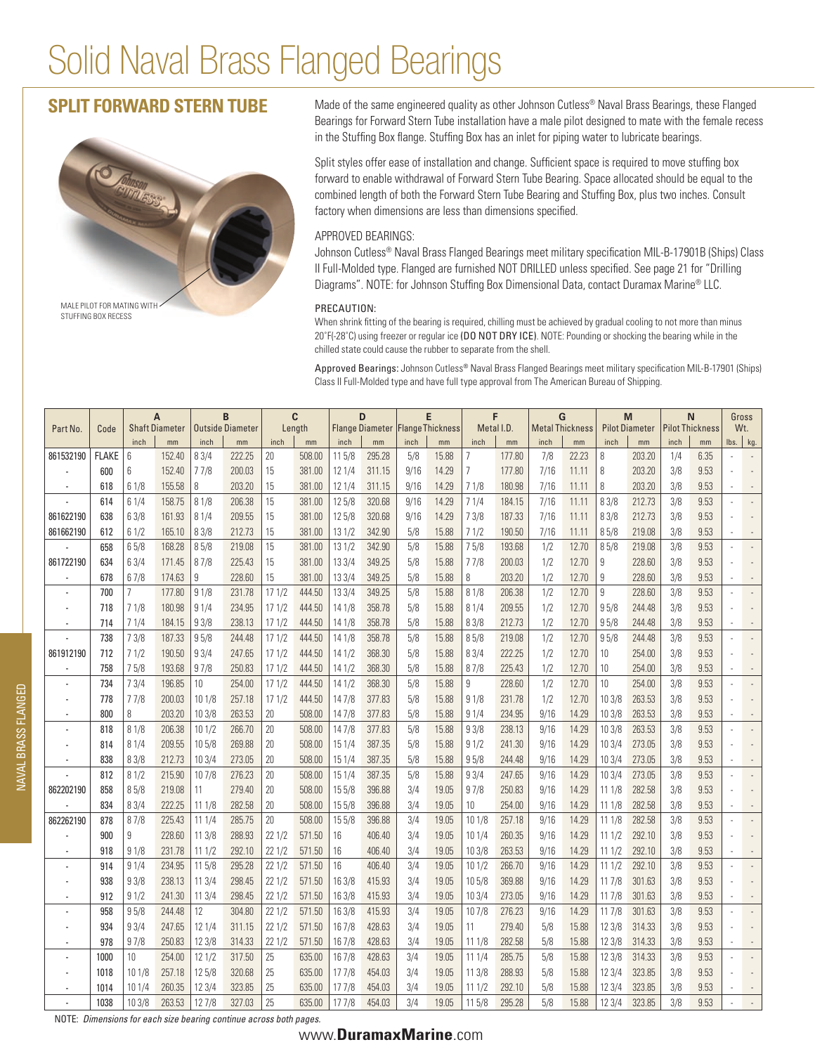# Solid Naval Brass Flanged Bearings

# **Split Forward Stern Tube**



Made of the same engineered quality as other Johnson Cutless<sup>®</sup> Naval Brass Bearings, these Flanged Bearings for Forward Stern Tube installation have a male pilot designed to mate with the female recess in the Stuffing Box flange. Stuffing Box has an inlet for piping water to lubricate bearings.

Split styles offer ease of installation and change. Sufficient space is required to move stuffing box forward to enable withdrawal of Forward Stern Tube Bearing. Space allocated should be equal to the combined length of both the Forward Stern Tube Bearing and Stuffing Box, plus two inches. Consult factory when dimensions are less than dimensions specified.

### APPROVED BEARINGS:

Johnson Cutless<sup>®</sup> Naval Brass Flanged Bearings meet military specification MIL-B-17901B (Ships) Class II Full-Molded type. Flanged are furnished NOT DRILLED unless specified. See page 21 for "Drilling Diagrams". NOTE: for Johnson Stuffing Box Dimensional Data, contact Duramax Marine® LLC.

#### PRECAUTION:

When shrink fitting of the bearing is required, chilling must be achieved by gradual cooling to not more than minus 20˚F(-28˚C) using freezer or regular ice (DO NOT DRY ICE). NOTE: Pounding or shocking the bearing while in the chilled state could cause the rubber to separate from the shell.

Approved Bearings: Johnson Cutless® Naval Brass Flanged Bearings meet military specification MIL-B-17901 (Ships) Class II Full-Molded type and have full type approval from The American Bureau of Shipping.

| Part No.  | Code         | A<br><b>Shaft Diameter</b> |        | B<br>$\mathbf{c}$<br><b>Outside Diameter</b><br>Length |        | D      |        | E<br>Flange Diameter   Flange Thickness |        | F<br>Metal I.D. |       | G<br><b>Metal Thickness</b> |        | M<br><b>Pilot Diameter</b> |       | N<br><b>Pilot Thickness</b> |        | Gross<br>Wt. |      |                                        |
|-----------|--------------|----------------------------|--------|--------------------------------------------------------|--------|--------|--------|-----------------------------------------|--------|-----------------|-------|-----------------------------|--------|----------------------------|-------|-----------------------------|--------|--------------|------|----------------------------------------|
|           |              | inch                       | mm     | inch                                                   | mm     | inch   | mm     | inch                                    | mm     | inch            | mm    | inch                        | mm     | inch                       | mm    | inch                        | mm     | inch         | mm   | $\mathsf{lbs.} \parallel \mathsf{kg.}$ |
| 861532190 | <b>FLAKE</b> | 6                          | 152.40 | 8 3/4                                                  | 222.25 | 20     | 508.00 | 11 5/8                                  | 295.28 | 5/8             | 15.88 | 7                           | 177.80 | 7/8                        | 22.23 | 8                           | 203.20 | 1/4          | 6.35 |                                        |
|           | 600          | 6                          | 152.40 | 77/8                                                   | 200.03 | 15     | 381.00 | 12 1/4                                  | 311.15 | 9/16            | 14.29 | 7                           | 177.80 | 7/16                       | 11.11 | 8                           | 203.20 | 3/8          | 9.53 |                                        |
|           | 618          | 61/8                       | 155.58 | 8                                                      | 203.20 | 15     | 381.00 | 12 1/4                                  | 311.15 | 9/16            | 14.29 | 71/8                        | 180.98 | 7/16                       | 11.11 | 8                           | 203.20 | 3/8          | 9.53 |                                        |
|           | 614          | 61/4                       | 158.75 | 8 1/8                                                  | 206.38 | 15     | 381.00 | 12 5/8                                  | 320.68 | 9/16            | 14.29 | 71/4                        | 184.15 | 7/16                       | 11.11 | 8 3/8                       | 212.73 | 3/8          | 9.53 |                                        |
| 861622190 | 638          | 63/8                       | 161.93 | 81/4                                                   | 209.55 | 15     | 381.00 | 12 5/8                                  | 320.68 | 9/16            | 14.29 | 73/8                        | 187.33 | 7/16                       | 11.11 | 83/8                        | 212.73 | 3/8          | 9.53 |                                        |
| 861662190 | 612          | 61/2                       | 165.10 | 8 3/8                                                  | 212.73 | 15     | 381.00 | 131/2                                   | 342.90 | 5/8             | 15.88 | 71/2                        | 190.50 | 7/16                       | 11.11 | 85/8                        | 219.08 | 3/8          | 9.53 |                                        |
|           | 658          | 65/8                       | 168.28 | 85/8                                                   | 219.08 | 15     | 381.00 | 131/2                                   | 342.90 | 5/8             | 15.88 | 75/8                        | 193.68 | 1/2                        | 12.70 | 85/8                        | 219.08 | 3/8          | 9.53 |                                        |
| 861722190 | 634          | 63/4                       | 171.45 | 87/8                                                   | 225.43 | 15     | 381.00 | 13 3/4                                  | 349.25 | 5/8             | 15.88 | 77/8                        | 200.03 | 1/2                        | 12.70 | 9                           | 228.60 | 3/8          | 9.53 |                                        |
|           | 678          | 67/8                       | 174.63 | 9                                                      | 228.60 | 15     | 381.00 | 13 3/4                                  | 349.25 | 5/8             | 15.88 | 8                           | 203.20 | 1/2                        | 12.70 | 9                           | 228.60 | 3/8          | 9.53 |                                        |
|           | 700          | $\overline{7}$             | 177.80 | 91/8                                                   | 231.78 | 171/2  | 444.50 | 13 3/4                                  | 349.25 | 5/8             | 15.88 | 81/8                        | 206.38 | 1/2                        | 12.70 | 9                           | 228.60 | 3/8          | 9.53 |                                        |
|           | 718          | 71/8                       | 180.98 | 91/4                                                   | 234.95 | 171/2  | 444.50 | 14 1/8                                  | 358.78 | 5/8             | 15.88 | 81/4                        | 209.55 | 1/2                        | 12.70 | 95/8                        | 244.48 | 3/8          | 9.53 |                                        |
|           | 714          | 71/4                       | 184.15 | 93/8                                                   | 238.13 | 171/2  | 444.50 | 14 1/8                                  | 358.78 | 5/8             | 15.88 | 83/8                        | 212.73 | 1/2                        | 12.70 | 95/8                        | 244.48 | 3/8          | 9.53 |                                        |
|           | 738          | 73/8                       | 187.33 | 95/8                                                   | 244.48 | 171/2  | 444.50 | 14 1/8                                  | 358.78 | 5/8             | 15.88 | 85/8                        | 219.08 | 1/2                        | 12.70 | 95/8                        | 244.48 | 3/8          | 9.53 |                                        |
| 861912190 | 712          | 71/2                       | 190.50 | 93/4                                                   | 247.65 | 171/2  | 444.50 | 14 1/2                                  | 368.30 | 5/8             | 15.88 | 83/4                        | 222.25 | 1/2                        | 12.70 | 10                          | 254.00 | 3/8          | 9.53 |                                        |
|           | 758          | 75/8                       | 193.68 | 97/8                                                   | 250.83 | 171/2  | 444.50 | 14 1/2                                  | 368.30 | 5/8             | 15.88 | 87/8                        | 225.43 | 1/2                        | 12.70 | 10                          | 254.00 | 3/8          | 9.53 |                                        |
|           | 734          | 73/4                       | 196.85 | 10 <sup>°</sup>                                        | 254.00 | 171/2  | 444.50 | 14 1/2                                  | 368.30 | 5/8             | 15.88 | 9                           | 228.60 | 1/2                        | 12.70 | 10                          | 254.00 | 3/8          | 9.53 |                                        |
|           | 778          | 77/8                       | 200.03 | 101/8                                                  | 257.18 | 171/2  | 444.50 | 147/8                                   | 377.83 | 5/8             | 15.88 | 91/8                        | 231.78 | 1/2                        | 12.70 | 103/8                       | 263.53 | 3/8          | 9.53 |                                        |
|           | 800          | 8                          | 203.20 | 10 3/8                                                 | 263.53 | 20     | 508.00 | 147/8                                   | 377.83 | 5/8             | 15.88 | 91/4                        | 234.95 | 9/16                       | 14.29 | 103/8                       | 263.53 | 3/8          | 9.53 |                                        |
|           | 818          | 81/8                       | 206.38 | 101/2                                                  | 266.70 | 20     | 508.00 | 14 7/8                                  | 377.83 | 5/8             | 15.88 | 93/8                        | 238.13 | 9/16                       | 14.29 | 10 3/8                      | 263.53 | 3/8          | 9.53 |                                        |
|           | 814          | 81/4                       | 209.55 | 105/8                                                  | 269.88 | 20     | 508.00 | 15 1/4                                  | 387.35 | 5/8             | 15.88 | 91/2                        | 241.30 | 9/16                       | 14.29 | 103/4                       | 273.05 | 3/8          | 9.53 |                                        |
|           | 838          | 83/8                       | 212.73 | 103/4                                                  | 273.05 | 20     | 508.00 | 15 1/4                                  | 387.35 | 5/8             | 15.88 | 95/8                        | 244.48 | 9/16                       | 14.29 | 103/4                       | 273.05 | 3/8          | 9.53 |                                        |
|           | 812          | 81/2                       | 215.90 | 107/8                                                  | 276.23 | 20     | 508.00 | 15 1/4                                  | 387.35 | 5/8             | 15.88 | 93/4                        | 247.65 | 9/16                       | 14.29 | 103/4                       | 273.05 | 3/8          | 9.53 |                                        |
| 862202190 | 858          | 85/8                       | 219.08 | 11                                                     | 279.40 | 20     | 508.00 | 15 5/8                                  | 396.88 | 3/4             | 19.05 | 97/8                        | 250.83 | 9/16                       | 14.29 | 111/8                       | 282.58 | 3/8          | 9.53 |                                        |
|           | 834          | 83/4                       | 222.25 | 11 1/8                                                 | 282.58 | 20     | 508.00 | 15 5/8                                  | 396.88 | 3/4             | 19.05 | 10                          | 254.00 | 9/16                       | 14.29 | 111/8                       | 282.58 | 3/8          | 9.53 |                                        |
| 862262190 | 878          | 87/8                       | 225.43 | 111/4                                                  | 285.75 | 20     | 508.00 | 155/8                                   | 396.88 | 3/4             | 19.05 | 101/8                       | 257.18 | 9/16                       | 14.29 | 111/8                       | 282.58 | 3/8          | 9.53 |                                        |
|           | 900          | 9                          | 228.60 | 113/8                                                  | 288.93 | 221/2  | 571.50 | 16                                      | 406.40 | 3/4             | 19.05 | 101/4                       | 260.35 | 9/16                       | 14.29 | 111/2                       | 292.10 | 3/8          | 9.53 |                                        |
|           | 918          | 91/8                       | 231.78 | 111/2                                                  | 292.10 | 221/2  | 571.50 | 16                                      | 406.40 | 3/4             | 19.05 | 103/8                       | 263.53 | 9/16                       | 14.29 | 111/2                       | 292.10 | 3/8          | 9.53 |                                        |
|           | 914          | 91/4                       | 234.95 | 115/8                                                  | 295.28 | 221/2  | 571.50 | 16                                      | 406.40 | 3/4             | 19.05 | 101/2                       | 266.70 | 9/16                       | 14.29 | 111/2                       | 292.10 | 3/8          | 9.53 |                                        |
|           | 938          | 93/8                       | 238.13 | 113/4                                                  | 298.45 | 221/2  | 571.50 | 16 3/8                                  | 415.93 | 3/4             | 19.05 | 105/8                       | 369.88 | 9/16                       | 14.29 | 117/8                       | 301.63 | 3/8          | 9.53 |                                        |
|           | 912          | 91/2                       | 241.30 | 113/4                                                  | 298.45 | 221/2  | 571.50 | 16 3/8                                  | 415.93 | 3/4             | 19.05 | 103/4                       | 273.05 | 9/16                       | 14.29 | 117/8                       | 301.63 | 3/8          | 9.53 |                                        |
|           | 958          | 95/8                       | 244.48 | 12                                                     | 304.80 | 221/2  | 571.50 | 16 3/8                                  | 415.93 | 3/4             | 19.05 | 107/8                       | 276.23 | 9/16                       | 14.29 | 11 7/8                      | 301.63 | 3/8          | 9.53 |                                        |
|           | 934          | 93/4                       | 247.65 | 121/4                                                  | 311.15 | 221/2  | 571.50 | 16 7/8                                  | 428.63 | 3/4             | 19.05 | 11                          | 279.40 | 5/8                        | 15.88 | 12 3/8                      | 314.33 | 3/8          | 9.53 |                                        |
|           | 978          | 97/8                       | 250.83 | 12 3/8                                                 | 314.33 | 22 1/2 | 571.50 | 16 7/8                                  | 428.63 | 3/4             | 19.05 | 11 1/8                      | 282.58 | 5/8                        | 15.88 | 12 3/8                      | 314.33 | 3/8          | 9.53 |                                        |
|           | 1000         | 10                         | 254.00 | 121/2                                                  | 317.50 | 25     | 635.00 | 16 7/8                                  | 428.63 | 3/4             | 19.05 | 111/4                       | 285.75 | 5/8                        | 15.88 | 12 3/8                      | 314.33 | 3/8          | 9.53 |                                        |
|           | 1018         | 10 1/8                     | 257.18 | 12 5/8                                                 | 320.68 | 25     | 635.00 | 17 7/8                                  | 454.03 | 3/4             | 19.05 | 11 3/8                      | 288.93 | 5/8                        | 15.88 | 123/4                       | 323.85 | 3/8          | 9.53 |                                        |
|           | 1014         | 10 1/4                     | 260.35 | 12 3/4                                                 | 323.85 | 25     | 635.00 | 177/8                                   | 454.03 | 3/4             | 19.05 | 111/2                       | 292.10 | 5/8                        | 15.88 | 123/4                       | 323.85 | 3/8          | 9.53 |                                        |
|           | 1038         | 103/8                      | 263.53 | 127/8                                                  | 327.03 | 25     | 635.00 | 17 7/8                                  | 454.03 | 3/4             | 19.05 | 115/8                       | 295.28 | 5/8                        | 15.88 | 123/4                       | 323.85 | 3/8          | 9.53 |                                        |

NOTE: *Dimensions for each size bearing continue across both pages.*

## **<sup>22</sup>** www.**DuramaxMarine**.com